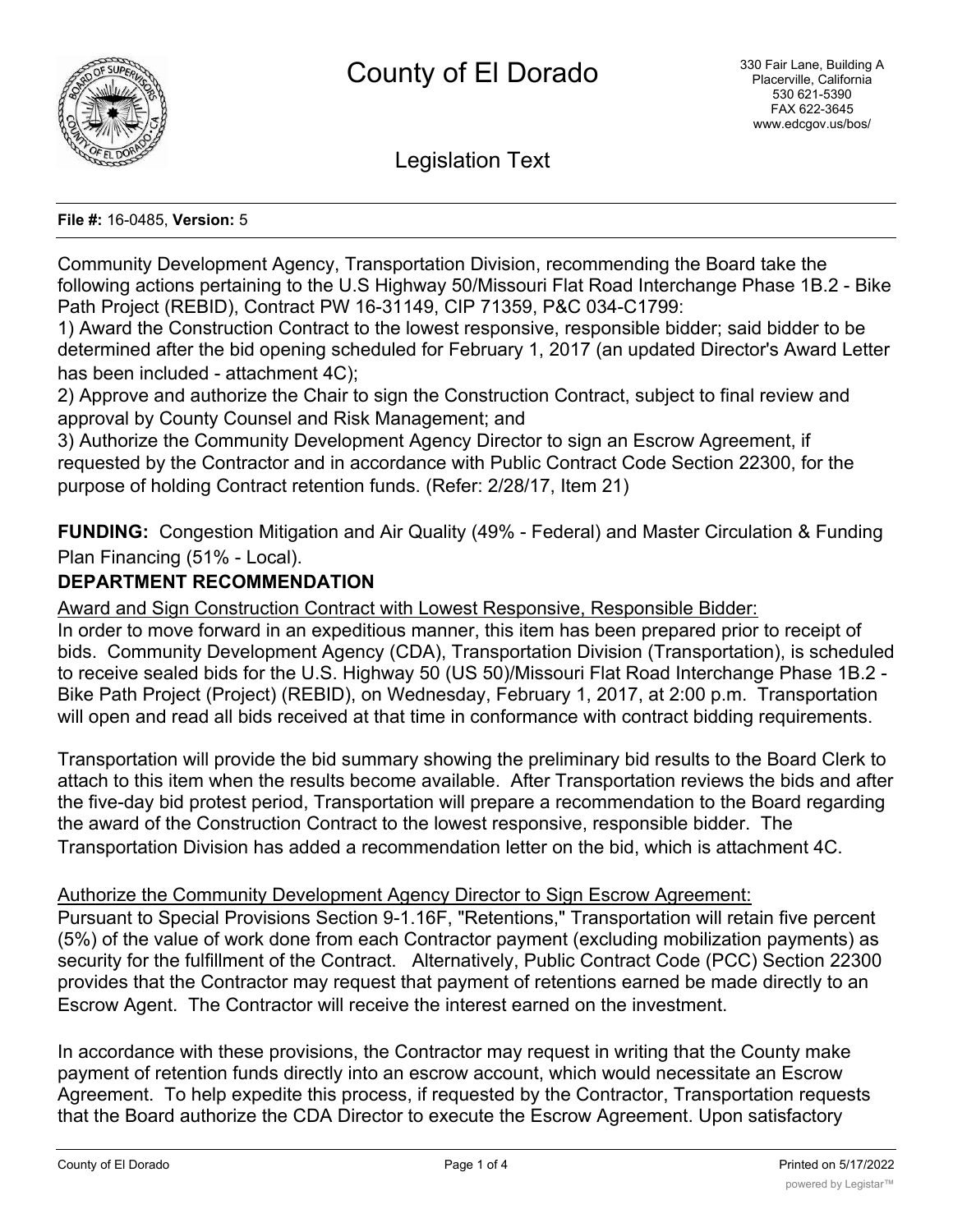

Legislation Text

#### **File #:** 16-0485, **Version:** 5

Community Development Agency, Transportation Division, recommending the Board take the following actions pertaining to the U.S Highway 50/Missouri Flat Road Interchange Phase 1B.2 - Bike Path Project (REBID), Contract PW 16-31149, CIP 71359, P&C 034-C1799:

1) Award the Construction Contract to the lowest responsive, responsible bidder; said bidder to be determined after the bid opening scheduled for February 1, 2017 (an updated Director's Award Letter has been included - attachment 4C);

2) Approve and authorize the Chair to sign the Construction Contract, subject to final review and approval by County Counsel and Risk Management; and

3) Authorize the Community Development Agency Director to sign an Escrow Agreement, if requested by the Contractor and in accordance with Public Contract Code Section 22300, for the purpose of holding Contract retention funds. (Refer: 2/28/17, Item 21)

**FUNDING:** Congestion Mitigation and Air Quality (49% - Federal) and Master Circulation & Funding Plan Financing (51% - Local).

## **DEPARTMENT RECOMMENDATION**

Award and Sign Construction Contract with Lowest Responsive, Responsible Bidder:

In order to move forward in an expeditious manner, this item has been prepared prior to receipt of bids. Community Development Agency (CDA), Transportation Division (Transportation), is scheduled to receive sealed bids for the U.S. Highway 50 (US 50)/Missouri Flat Road Interchange Phase 1B.2 - Bike Path Project (Project) (REBID), on Wednesday, February 1, 2017, at 2:00 p.m. Transportation will open and read all bids received at that time in conformance with contract bidding requirements.

Transportation will provide the bid summary showing the preliminary bid results to the Board Clerk to attach to this item when the results become available. After Transportation reviews the bids and after the five-day bid protest period, Transportation will prepare a recommendation to the Board regarding the award of the Construction Contract to the lowest responsive, responsible bidder. The Transportation Division has added a recommendation letter on the bid, which is attachment 4C.

#### Authorize the Community Development Agency Director to Sign Escrow Agreement:

Pursuant to Special Provisions Section 9-1.16F, "Retentions," Transportation will retain five percent (5%) of the value of work done from each Contractor payment (excluding mobilization payments) as security for the fulfillment of the Contract. Alternatively, Public Contract Code (PCC) Section 22300 provides that the Contractor may request that payment of retentions earned be made directly to an Escrow Agent. The Contractor will receive the interest earned on the investment.

In accordance with these provisions, the Contractor may request in writing that the County make payment of retention funds directly into an escrow account, which would necessitate an Escrow Agreement. To help expedite this process, if requested by the Contractor, Transportation requests that the Board authorize the CDA Director to execute the Escrow Agreement. Upon satisfactory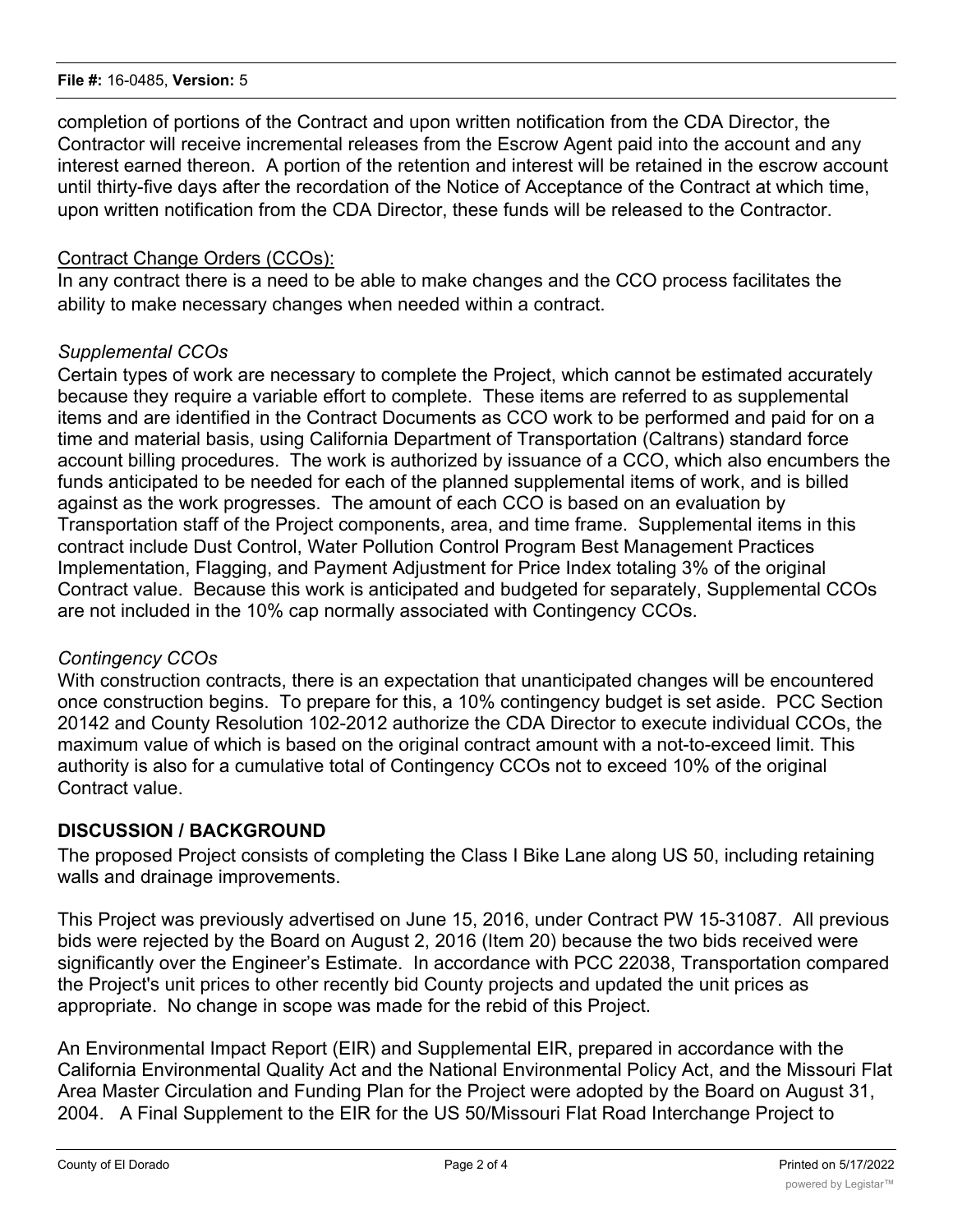#### **File #:** 16-0485, **Version:** 5

completion of portions of the Contract and upon written notification from the CDA Director, the Contractor will receive incremental releases from the Escrow Agent paid into the account and any interest earned thereon. A portion of the retention and interest will be retained in the escrow account until thirty-five days after the recordation of the Notice of Acceptance of the Contract at which time, upon written notification from the CDA Director, these funds will be released to the Contractor.

#### Contract Change Orders (CCOs):

In any contract there is a need to be able to make changes and the CCO process facilitates the ability to make necessary changes when needed within a contract.

#### *Supplemental CCOs*

Certain types of work are necessary to complete the Project, which cannot be estimated accurately because they require a variable effort to complete. These items are referred to as supplemental items and are identified in the Contract Documents as CCO work to be performed and paid for on a time and material basis, using California Department of Transportation (Caltrans) standard force account billing procedures. The work is authorized by issuance of a CCO, which also encumbers the funds anticipated to be needed for each of the planned supplemental items of work, and is billed against as the work progresses. The amount of each CCO is based on an evaluation by Transportation staff of the Project components, area, and time frame. Supplemental items in this contract include Dust Control, Water Pollution Control Program Best Management Practices Implementation, Flagging, and Payment Adjustment for Price Index totaling 3% of the original Contract value. Because this work is anticipated and budgeted for separately, Supplemental CCOs are not included in the 10% cap normally associated with Contingency CCOs.

## *Contingency CCOs*

With construction contracts, there is an expectation that unanticipated changes will be encountered once construction begins. To prepare for this, a 10% contingency budget is set aside. PCC Section 20142 and County Resolution 102-2012 authorize the CDA Director to execute individual CCOs, the maximum value of which is based on the original contract amount with a not-to-exceed limit. This authority is also for a cumulative total of Contingency CCOs not to exceed 10% of the original Contract value.

## **DISCUSSION / BACKGROUND**

The proposed Project consists of completing the Class I Bike Lane along US 50, including retaining walls and drainage improvements.

This Project was previously advertised on June 15, 2016, under Contract PW 15-31087. All previous bids were rejected by the Board on August 2, 2016 (Item 20) because the two bids received were significantly over the Engineer's Estimate. In accordance with PCC 22038, Transportation compared the Project's unit prices to other recently bid County projects and updated the unit prices as appropriate. No change in scope was made for the rebid of this Project.

An Environmental Impact Report (EIR) and Supplemental EIR, prepared in accordance with the California Environmental Quality Act and the National Environmental Policy Act, and the Missouri Flat Area Master Circulation and Funding Plan for the Project were adopted by the Board on August 31, 2004. A Final Supplement to the EIR for the US 50/Missouri Flat Road Interchange Project to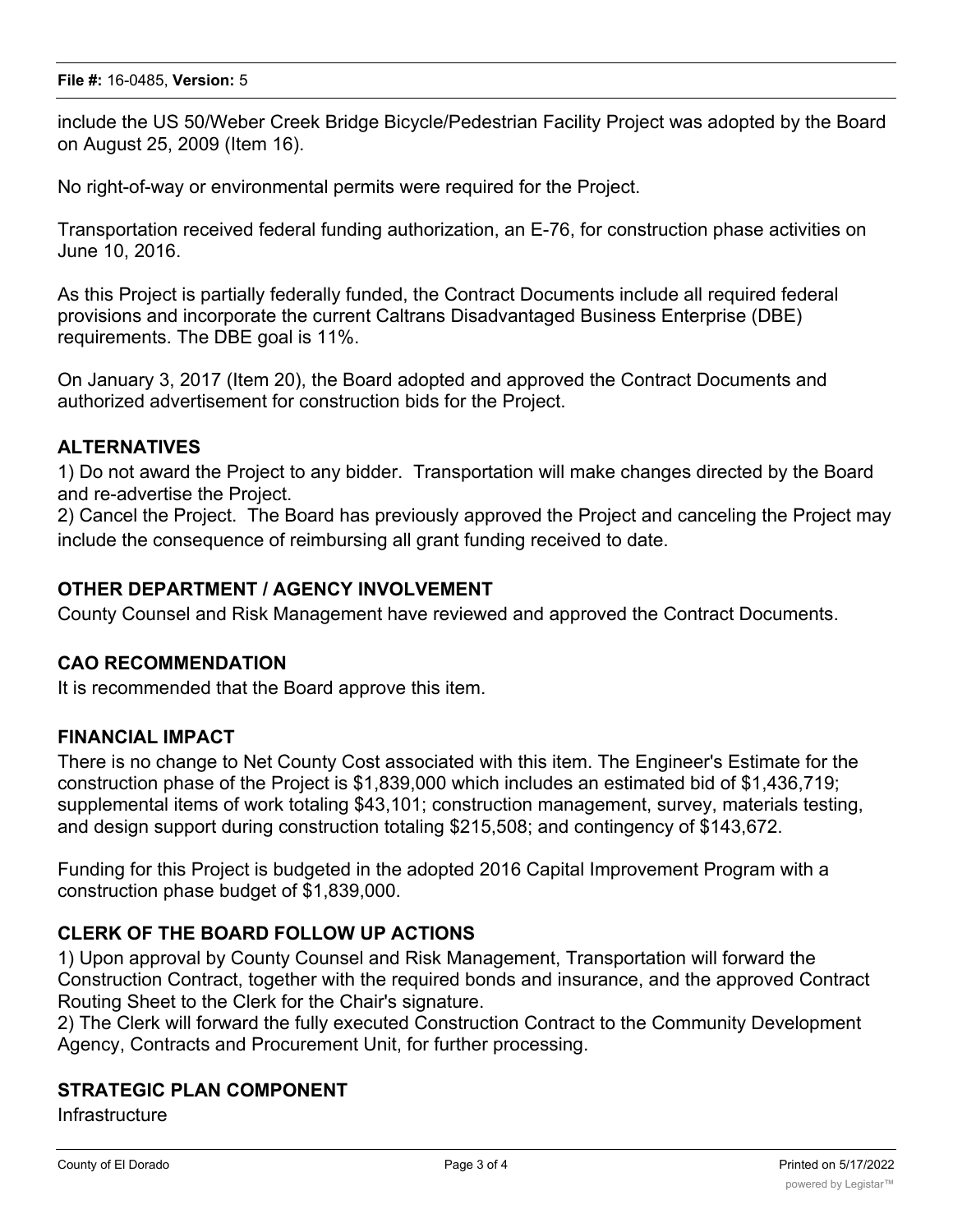include the US 50/Weber Creek Bridge Bicycle/Pedestrian Facility Project was adopted by the Board on August 25, 2009 (Item 16).

No right-of-way or environmental permits were required for the Project.

Transportation received federal funding authorization, an E-76, for construction phase activities on June 10, 2016.

As this Project is partially federally funded, the Contract Documents include all required federal provisions and incorporate the current Caltrans Disadvantaged Business Enterprise (DBE) requirements. The DBE goal is 11%.

On January 3, 2017 (Item 20), the Board adopted and approved the Contract Documents and authorized advertisement for construction bids for the Project.

## **ALTERNATIVES**

1) Do not award the Project to any bidder. Transportation will make changes directed by the Board and re-advertise the Project.

2) Cancel the Project. The Board has previously approved the Project and canceling the Project may include the consequence of reimbursing all grant funding received to date.

## **OTHER DEPARTMENT / AGENCY INVOLVEMENT**

County Counsel and Risk Management have reviewed and approved the Contract Documents.

## **CAO RECOMMENDATION**

It is recommended that the Board approve this item.

#### **FINANCIAL IMPACT**

There is no change to Net County Cost associated with this item. The Engineer's Estimate for the construction phase of the Project is \$1,839,000 which includes an estimated bid of \$1,436,719; supplemental items of work totaling \$43,101; construction management, survey, materials testing, and design support during construction totaling \$215,508; and contingency of \$143,672.

Funding for this Project is budgeted in the adopted 2016 Capital Improvement Program with a construction phase budget of \$1,839,000.

## **CLERK OF THE BOARD FOLLOW UP ACTIONS**

1) Upon approval by County Counsel and Risk Management, Transportation will forward the Construction Contract, together with the required bonds and insurance, and the approved Contract Routing Sheet to the Clerk for the Chair's signature.

2) The Clerk will forward the fully executed Construction Contract to the Community Development Agency, Contracts and Procurement Unit, for further processing.

#### **STRATEGIC PLAN COMPONENT**

**Infrastructure**